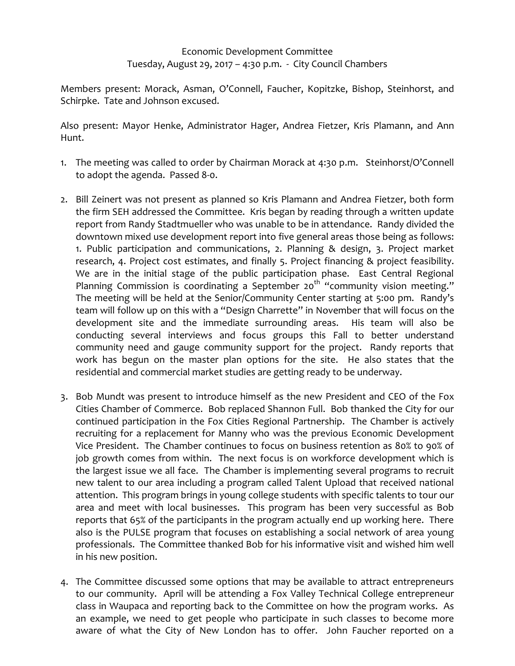## Economic Development Committee Tuesday, August 29, 2017 – 4:30 p.m. - City Council Chambers

Members present: Morack, Asman, O'Connell, Faucher, Kopitzke, Bishop, Steinhorst, and Schirpke. Tate and Johnson excused.

Also present: Mayor Henke, Administrator Hager, Andrea Fietzer, Kris Plamann, and Ann Hunt.

- 1. The meeting was called to order by Chairman Morack at 4:30 p.m. Steinhorst/O'Connell to adopt the agenda. Passed 8-0.
- 2. Bill Zeinert was not present as planned so Kris Plamann and Andrea Fietzer, both form the firm SEH addressed the Committee. Kris began by reading through a written update report from Randy Stadtmueller who was unable to be in attendance. Randy divided the downtown mixed use development report into five general areas those being as follows: 1. Public participation and communications, 2. Planning & design, 3. Project market research, 4. Project cost estimates, and finally 5. Project financing & project feasibility. We are in the initial stage of the public participation phase. East Central Regional Planning Commission is coordinating a September 20<sup>th</sup> "community vision meeting." The meeting will be held at the Senior/Community Center starting at 5:00 pm. Randy's team will follow up on this with a "Design Charrette" in November that will focus on the development site and the immediate surrounding areas. His team will also be conducting several interviews and focus groups this Fall to better understand community need and gauge community support for the project. Randy reports that work has begun on the master plan options for the site. He also states that the residential and commercial market studies are getting ready to be underway.
- 3. Bob Mundt was present to introduce himself as the new President and CEO of the Fox Cities Chamber of Commerce. Bob replaced Shannon Full. Bob thanked the City for our continued participation in the Fox Cities Regional Partnership. The Chamber is actively recruiting for a replacement for Manny who was the previous Economic Development Vice President. The Chamber continues to focus on business retention as 80% to 90% of job growth comes from within. The next focus is on workforce development which is the largest issue we all face. The Chamber is implementing several programs to recruit new talent to our area including a program called Talent Upload that received national attention. This program brings in young college students with specific talents to tour our area and meet with local businesses. This program has been very successful as Bob reports that 65% of the participants in the program actually end up working here. There also is the PULSE program that focuses on establishing a social network of area young professionals. The Committee thanked Bob for his informative visit and wished him well in his new position.
- 4. The Committee discussed some options that may be available to attract entrepreneurs to our community. April will be attending a Fox Valley Technical College entrepreneur class in Waupaca and reporting back to the Committee on how the program works. As an example, we need to get people who participate in such classes to become more aware of what the City of New London has to offer. John Faucher reported on a